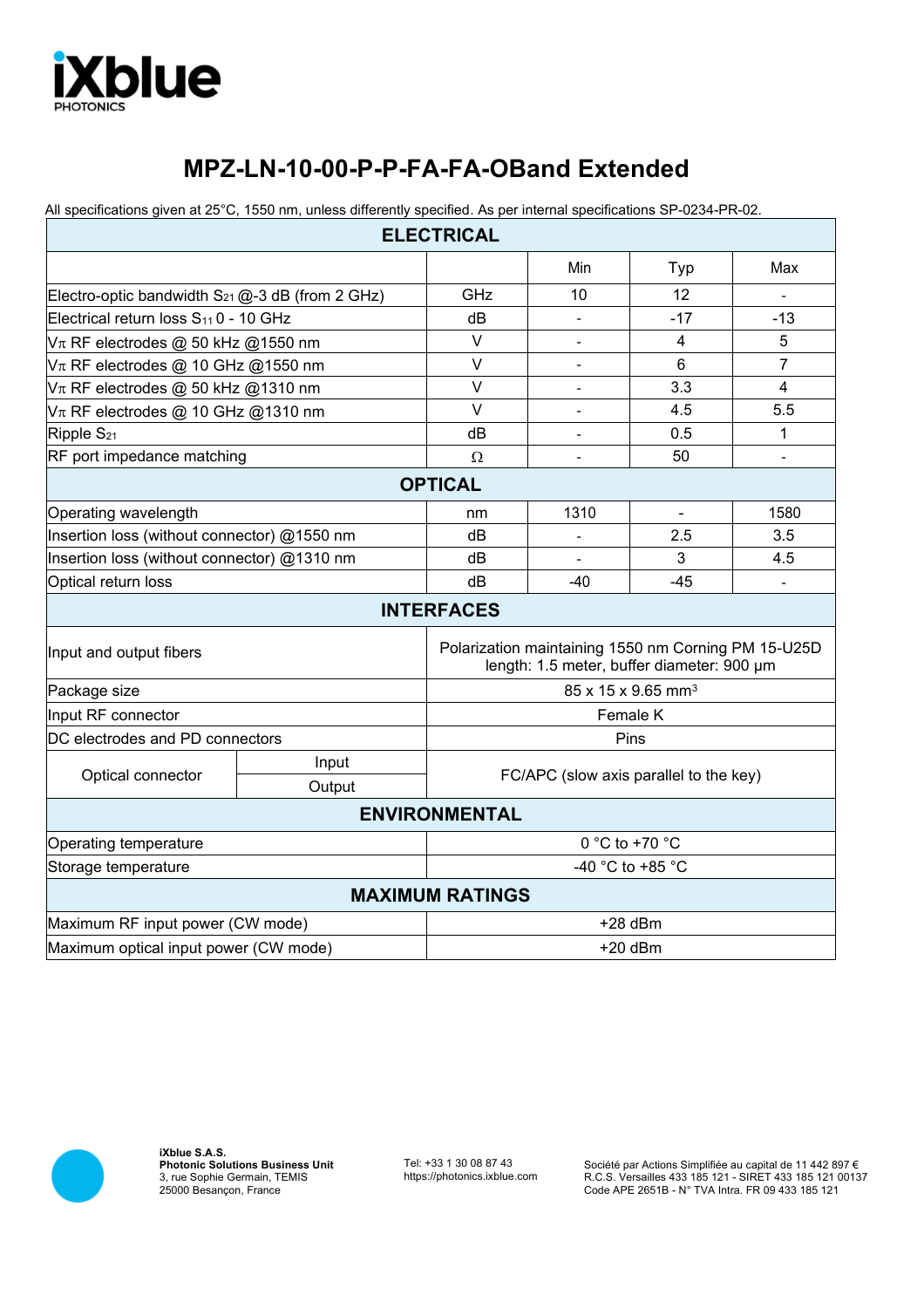

## **MPZ-LN-10-00-P-P-FA-FA-OBand Extended**

All specifications given at 25°C, 1550 nm, unless differently specified. As per internal specifications SP-0234-PR-02.

| <b>ELECTRICAL</b>                                    |                 |                                                                                                   |                |                              |       |
|------------------------------------------------------|-----------------|---------------------------------------------------------------------------------------------------|----------------|------------------------------|-------|
|                                                      |                 |                                                                                                   | Min            | Typ                          | Max   |
| Electro-optic bandwidth $S_{21}$ @-3 dB (from 2 GHz) |                 | GHz                                                                                               | 10             | 12                           |       |
| Electrical return loss S <sub>11</sub> 0 - 10 GHz    |                 | dB                                                                                                |                | $-17$                        | $-13$ |
| $V\pi$ RF electrodes @ 50 kHz @1550 nm               |                 | $\vee$                                                                                            |                | 4                            | 5     |
| $V\pi$ RF electrodes @ 10 GHz @1550 nm               |                 | $\vee$                                                                                            | $\overline{a}$ | 6                            | 7     |
| $V\pi$ RF electrodes @ 50 kHz @1310 nm               |                 | V                                                                                                 | $\blacksquare$ | 3.3                          | 4     |
| $V\pi$ RF electrodes @ 10 GHz @1310 nm               |                 | $\vee$                                                                                            |                | 4.5                          | 5.5   |
| Ripple S <sub>21</sub>                               |                 | dB                                                                                                |                | 0.5                          | 1     |
| RF port impedance matching                           |                 | $\Omega$                                                                                          |                | 50                           |       |
| <b>OPTICAL</b>                                       |                 |                                                                                                   |                |                              |       |
| Operating wavelength                                 |                 | nm                                                                                                | 1310           | $\qquad \qquad \blacksquare$ | 1580  |
| Insertion loss (without connector) @1550 nm          |                 | dB                                                                                                |                | 2.5                          | 3.5   |
| Insertion loss (without connector) @1310 nm          |                 | dB                                                                                                |                | 3                            | 4.5   |
| Optical return loss                                  |                 | dB                                                                                                | -40            | -45                          |       |
|                                                      |                 | <b>INTERFACES</b>                                                                                 |                |                              |       |
| Input and output fibers                              |                 | Polarization maintaining 1550 nm Corning PM 15-U25D<br>length: 1.5 meter, buffer diameter: 900 µm |                |                              |       |
| Package size                                         |                 | 85 x 15 x 9.65 mm <sup>3</sup>                                                                    |                |                              |       |
| Input RF connector                                   |                 | Female K                                                                                          |                |                              |       |
| DC electrodes and PD connectors                      |                 | Pins                                                                                              |                |                              |       |
| Optical connector                                    | Input<br>Output | FC/APC (slow axis parallel to the key)                                                            |                |                              |       |
| <b>ENVIRONMENTAL</b>                                 |                 |                                                                                                   |                |                              |       |
| <b>Operating temperature</b>                         |                 | $0 °C$ to +70 $°C$                                                                                |                |                              |       |
| Storage temperature                                  |                 | -40 °C to +85 °C                                                                                  |                |                              |       |
|                                                      |                 | <b>MAXIMUM RATINGS</b>                                                                            |                |                              |       |
| Maximum RF input power (CW mode)                     | $+28$ dBm       |                                                                                                   |                |                              |       |
| Maximum optical input power (CW mode)                |                 | $+20$ dBm                                                                                         |                |                              |       |



**iXblue S.A.S. Photonic Solutions Business Unit**  3, rue Sophie Germain, TEMIS 25000 Besançon, France

Tel: +33 1 30 08 87 43 https://photonics.ixblue.com

Société par Actions Simplifiée au capital de 11 442 897 € R.C.S. Versailles 433 185 121 - SIRET 433 185 121 00137 Code APE 2651B - N° TVA Intra. FR 09 433 185 121